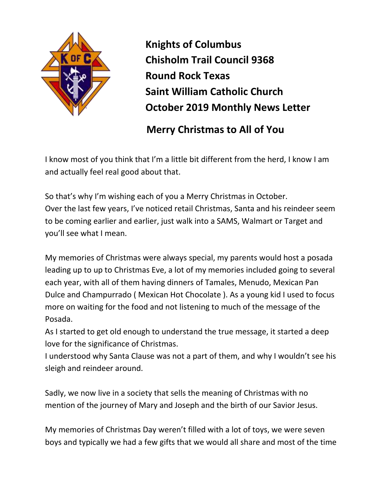

**Knights of Columbus Chisholm Trail Council 9368 Round Rock Texas Saint William Catholic Church October 2019 Monthly News Letter**

 **Merry Christmas to All of You**

I know most of you think that I'm a little bit different from the herd, I know I am and actually feel real good about that.

So that's why I'm wishing each of you a Merry Christmas in October. Over the last few years, I've noticed retail Christmas, Santa and his reindeer seem to be coming earlier and earlier, just walk into a SAMS, Walmart or Target and you'll see what I mean.

My memories of Christmas were always special, my parents would host a posada leading up to up to Christmas Eve, a lot of my memories included going to several each year, with all of them having dinners of Tamales, Menudo, Mexican Pan Dulce and Champurrado ( Mexican Hot Chocolate ). As a young kid I used to focus more on waiting for the food and not listening to much of the message of the Posada.

As I started to get old enough to understand the true message, it started a deep love for the significance of Christmas.

I understood why Santa Clause was not a part of them, and why I wouldn't see his sleigh and reindeer around.

Sadly, we now live in a society that sells the meaning of Christmas with no mention of the journey of Mary and Joseph and the birth of our Savior Jesus.

My memories of Christmas Day weren't filled with a lot of toys, we were seven boys and typically we had a few gifts that we would all share and most of the time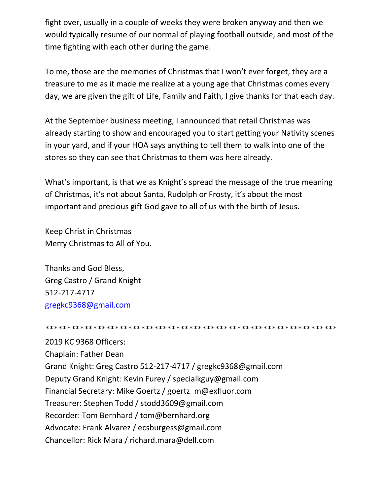fight over, usually in a couple of weeks they were broken anyway and then we would typically resume of our normal of playing football outside, and most of the time fighting with each other during the game.

To me, those are the memories of Christmas that I won't ever forget, they are a treasure to me as it made me realize at a young age that Christmas comes every day, we are given the gift of Life, Family and Faith, I give thanks for that each day.

At the September business meeting, I announced that retail Christmas was already starting to show and encouraged you to start getting your Nativity scenes in your yard, and if your HOA says anything to tell them to walk into one of the stores so they can see that Christmas to them was here already.

What's important, is that we as Knight's spread the message of the true meaning of Christmas, it's not about Santa, Rudolph or Frosty, it's about the most important and precious gift God gave to all of us with the birth of Jesus.

Keep Christ in Christmas Merry Christmas to All of You.

Thanks and God Bless, Greg Castro / Grand Knight 512-217-4717 [gregkc9368@gmail.com](mailto:gregkc9368@gmail.com)

## \*\*\*\*\*\*\*\*\*\*\*\*\*\*\*\*\*\*\*\*\*\*\*\*\*\*\*\*\*\*\*\*\*\*\*\*\*\*\*\*\*\*\*\*\*\*\*\*\*\*\*\*\*\*\*\*\*\*\*\*\*\*\*\*\*\*\*

2019 KC 9368 Officers: Chaplain: Father Dean Grand Knight: Greg Castro 512-217-4717 / gregkc9368@gmail.com Deputy Grand Knight: Kevin Furey / specialkguy@gmail.com Financial Secretary: Mike Goertz / goertz\_m@exfluor.com Treasurer: Stephen Todd / stodd3609@gmail.com Recorder: Tom Bernhard / tom@bernhard.org Advocate: Frank Alvarez / ecsburgess@gmail.com Chancellor: Rick Mara / richard.mara@dell.com